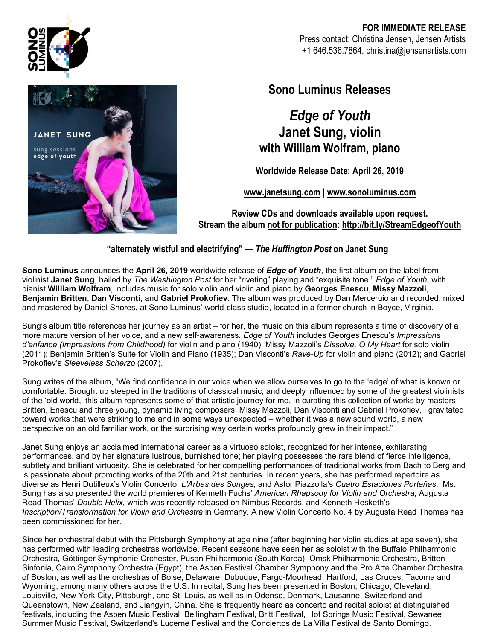

### **FOR IMMEDIATE RELEASE** Press contact: Christina Jensen, Jensen Artists +1 646.536.7864, christina@jensenartists.com



## **Sono Luminus Releases**

# *Edge of Youth* **Janet Sung, violin with William Wolfram, piano**

**Worldwide Release Date: April 26, 2019**

**www.janetsung.com | www.sonoluminus.com**

**Review CDs and downloads available upon request. Stream the album not for publication: http://bit.ly/StreamEdgeofYouth**

**"alternately wistful and electrifying" —** *The Huffington Post* **on Janet Sung**

**Sono Luminus** announces the **April 26, 2019** worldwide release of *Edge of Youth*, the first album on the label from violinist **Janet Sung**, hailed by *The Washington Post* for her "riveting" playing and "exquisite tone." *Edge of Youth*, with pianist **William Wolfram**, includes music for solo violin and violin and piano by **Georges Enescu**, **Missy Mazzoli**, **Benjamin Britten**, **Dan Visconti**, and **Gabriel Prokofiev**. The album was produced by Dan Merceruio and recorded, mixed and mastered by Daniel Shores, at Sono Luminus' world-class studio, located in a former church in Boyce, Virginia.

Sung's album title references her journey as an artist – for her, the music on this album represents a time of discovery of a more mature version of her voice, and a new self-awareness. *Edge of Youth* includes Georges Enescu's *Impressions d'enfance (Impressions from Childhood)* for violin and piano (1940); Missy Mazzoli's *Dissolve, O My Heart* for solo violin (2011); Benjamin Britten's Suite for Violin and Piano (1935); Dan Visconti's *Rave-Up* for violin and piano (2012); and Gabriel Prokofiev's *Sleeveless Scherzo* (2007).

Sung writes of the album, "We find confidence in our voice when we allow ourselves to go to the 'edge' of what is known or comfortable. Brought up steeped in the traditions of classical music, and deeply influenced by some of the greatest violinists of the 'old world,' this album represents some of that artistic journey for me. In curating this collection of works by masters Britten, Enescu and three young, dynamic living composers, Missy Mazzoli, Dan Visconti and Gabriel Prokofiev, I gravitated toward works that were striking to me and in some ways unexpected – whether it was a new sound world, a new perspective on an old familiar work, or the surprising way certain works profoundly grew in their impact."

Janet Sung enjoys an acclaimed international career as a virtuoso soloist, recognized for her intense, exhilarating performances, and by her signature lustrous, burnished tone; her playing possesses the rare blend of fierce intelligence, subtlety and brilliant virtuosity. She is celebrated for her compelling performances of traditional works from Bach to Berg and is passionate about promoting works of the 20th and 21st centuries. In recent years, she has performed repertoire as diverse as Henri Dutilleux's Violin Concerto, *L'Arbes des Songes,* and Astor Piazzolla's *Cuatro Estaciones Porteñas*. Ms. Sung has also presented the world premieres of Kenneth Fuchs' *American Rhapsody for Violin and Orchestra*, Augusta Read Thomas' *Double Helix,* which was recently released on Nimbus Records, and Kenneth Hesketh's *Inscription/Transformation for Violin and Orchestra* in Germany. A new Violin Concerto No. 4 by Augusta Read Thomas has been commissioned for her.

Since her orchestral debut with the Pittsburgh Symphony at age nine (after beginning her violin studies at age seven), she has performed with leading orchestras worldwide. Recent seasons have seen her as soloist with the Buffalo Philharmonic Orchestra, Göttinger Symphonie Orchester, Pusan Philharmonic (South Korea), Omsk Philharmonic Orchestra, Britten Sinfonia, Cairo Symphony Orchestra (Egypt), the Aspen Festival Chamber Symphony and the Pro Arte Chamber Orchestra of Boston, as well as the orchestras of Boise, Delaware, Dubuque, Fargo-Moorhead, Hartford, Las Cruces, Tacoma and Wyoming, among many others across the U.S. In recital, Sung has been presented in Boston, Chicago, Cleveland, Louisville, New York City, Pittsburgh, and St. Louis, as well as in Odense, Denmark, Lausanne, Switzerland and Queenstown, New Zealand, and Jiangyin, China. She is frequently heard as concerto and recital soloist at distinguished festivals, including the Aspen Music Festival, Bellingham Festival, Britt Festival, Hot Springs Music Festival, Sewanee Summer Music Festival, Switzerland's Lucerne Festival and the Conciertos de La Villa Festival de Santo Domingo.